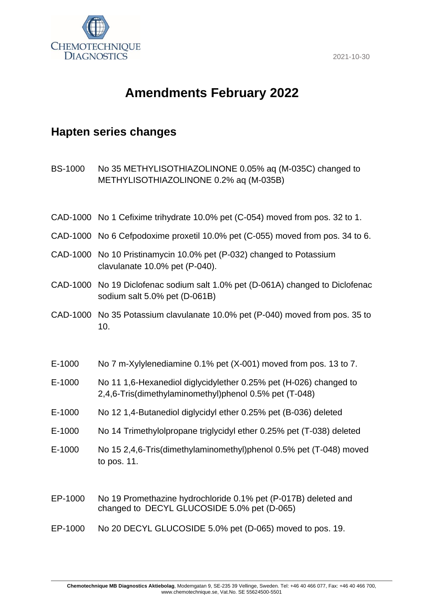

## **Amendments February 2022**

## **Hapten series changes**

BS-1000 No 35 METHYLISOTHIAZOLINONE 0.05% aq (M-035C) changed to METHYLISOTHIAZOLINONE 0.2% aq (M-035B)

- CAD-1000 No 1 Cefixime trihydrate 10.0% pet (C-054) moved from pos. 32 to 1.
- CAD-1000 No 6 Cefpodoxime proxetil 10.0% pet (C-055) moved from pos. 34 to 6.
- CAD-1000 No 10 Pristinamycin 10.0% pet (P-032) changed to Potassium clavulanate 10.0% pet (P-040).
- CAD-1000 No 19 Diclofenac sodium salt 1.0% pet (D-061A) changed to Diclofenac sodium salt 5.0% pet (D-061B)
- CAD-1000 No 35 Potassium clavulanate 10.0% pet (P-040) moved from pos. 35 to 10.
- E-1000 No 7 m-Xylylenediamine 0.1% pet (X-001) moved from pos. 13 to 7.
- E-1000 No 11 1,6-Hexanediol diglycidylether 0.25% pet (H-026) changed to 2,4,6-Tris(dimethylaminomethyl)phenol 0.5% pet (T-048)
- E-1000 No 12 1,4-Butanediol diglycidyl ether 0.25% pet (B-036) deleted
- E-1000 No 14 Trimethylolpropane triglycidyl ether 0.25% pet (T-038) deleted
- E-1000 No 15 2,4,6-Tris(dimethylaminomethyl)phenol 0.5% pet (T-048) moved to pos. 11.
- EP-1000 No 19 Promethazine hydrochloride 0.1% pet (P-017B) deleted and changed to DECYL GLUCOSIDE 5.0% pet (D-065)
- EP-1000 No 20 DECYL GLUCOSIDE 5.0% pet (D-065) moved to pos. 19.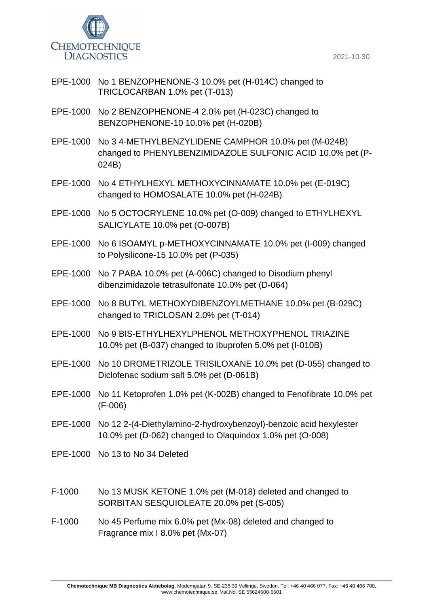

- EPE-1000 No 1 BENZOPHENONE-3 10.0% pet (H-014C) changed to TRICLOCARBAN 1.0% pet (T-013)
- EPE-1000 No 2 BENZOPHENONE-4 2.0% pet (H-023C) changed to BENZOPHENONE-10 10.0% pet (H-020B)
- EPE-1000 No 3 4-METHYLBENZYLIDENE CAMPHOR 10.0% pet (M-024B) changed to PHENYLBENZIMIDAZOLE SULFONIC ACID 10.0% pet (P-024B)
- EPE-1000 No 4 ETHYLHEXYL METHOXYCINNAMATE 10.0% pet (E-019C) changed to HOMOSALATE 10.0% pet (H-024B)
- EPE-1000 No 5 OCTOCRYLENE 10.0% pet (O-009) changed to ETHYLHEXYL SALICYLATE 10.0% pet (O-007B)
- EPE-1000 No 6 ISOAMYL p-METHOXYCINNAMATE 10.0% pet (I-009) changed to Polysilicone-15 10.0% pet (P-035)
- EPE-1000 No 7 PABA 10.0% pet (A-006C) changed to Disodium phenyl dibenzimidazole tetrasulfonate 10.0% pet (D-064)
- EPE-1000 No 8 BUTYL METHOXYDIBENZOYLMETHANE 10.0% pet (B-029C) changed to TRICLOSAN 2.0% pet (T-014)
- EPE-1000 No 9 BIS-ETHYLHEXYLPHENOL METHOXYPHENOL TRIAZINE 10.0% pet (B-037) changed to Ibuprofen 5.0% pet (I-010B)
- EPE-1000 No 10 DROMETRIZOLE TRISILOXANE 10.0% pet (D-055) changed to Diclofenac sodium salt 5.0% pet (D-061B)
- EPE-1000 No 11 Ketoprofen 1.0% pet (K-002B) changed to Fenofibrate 10.0% pet (F-006)
- EPE-1000 No 12 2-(4-Diethylamino-2-hydroxybenzoyl)-benzoic acid hexylester 10.0% pet (D-062) changed to Olaquindox 1.0% pet (O-008)
- EPE-1000 No 13 to No 34 Deleted
- F-1000 No 13 MUSK KETONE 1.0% pet (M-018) deleted and changed to SORBITAN SESQUIOLEATE 20.0% pet (S-005)
- F-1000 No 45 Perfume mix 6.0% pet (Mx-08) deleted and changed to Fragrance mix I 8.0% pet (Mx-07)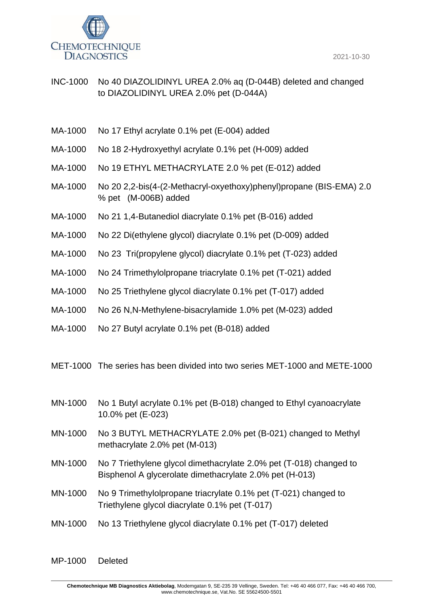



INC-1000 No 40 DIAZOLIDINYL UREA 2.0% aq (D-044B) deleted and changed to DIAZOLIDINYL UREA 2.0% pet (D-044A)

- MA-1000 No 17 Ethyl acrylate 0.1% pet (E-004) added
- MA-1000 No 18 2-Hydroxyethyl acrylate 0.1% pet (H-009) added
- MA-1000 No 19 ETHYL METHACRYLATE 2.0 % pet (E-012) added
- MA-1000 No 20 2,2-bis(4-(2-Methacryl-oxyethoxy)phenyl)propane (BIS-EMA) 2.0 % pet (M-006B) added
- MA-1000 No 21 1,4-Butanediol diacrylate 0.1% pet (B-016) added
- MA-1000 No 22 Di(ethylene glycol) diacrylate 0.1% pet (D-009) added
- MA-1000 No 23 Tri(propylene glycol) diacrylate 0.1% pet (T-023) added
- MA-1000 No 24 Trimethylolpropane triacrylate 0.1% pet (T-021) added
- MA-1000 No 25 Triethylene glycol diacrylate 0.1% pet (T-017) added
- MA-1000 No 26 N,N-Methylene-bisacrylamide 1.0% pet (M-023) added
- MA-1000 No 27 Butyl acrylate 0.1% pet (B-018) added
- MET-1000 The series has been divided into two series MET-1000 and METE-1000
- MN-1000 No 1 Butyl acrylate 0.1% pet (B-018) changed to Ethyl cyanoacrylate 10.0% pet (E-023)
- MN-1000 No 3 BUTYL METHACRYLATE 2.0% pet (B-021) changed to Methyl methacrylate 2.0% pet (M-013)
- MN-1000 No 7 Triethylene glycol dimethacrylate 2.0% pet (T-018) changed to Bisphenol A glycerolate dimethacrylate 2.0% pet (H-013)
- MN-1000 No 9 Trimethylolpropane triacrylate 0.1% pet (T-021) changed to Triethylene glycol diacrylate 0.1% pet (T-017)
- MN-1000 No 13 Triethylene glycol diacrylate 0.1% pet (T-017) deleted

MP-1000 Deleted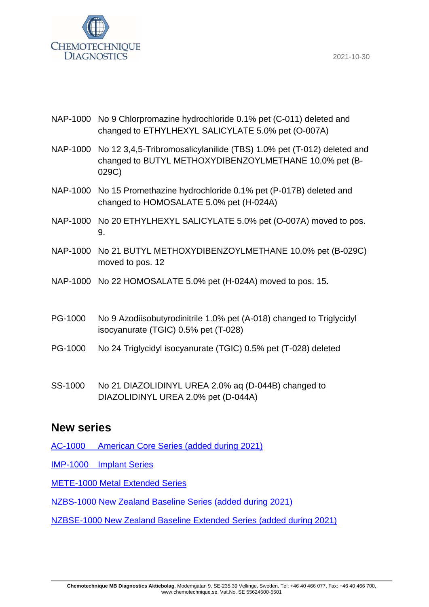

- NAP-1000 No 9 Chlorpromazine hydrochloride 0.1% pet (C-011) deleted and changed to ETHYLHEXYL SALICYLATE 5.0% pet (O-007A)
- NAP-1000 No 12 3,4,5-Tribromosalicylanilide (TBS) 1.0% pet (T-012) deleted and changed to BUTYL METHOXYDIBENZOYLMETHANE 10.0% pet (B-029C)
- NAP-1000 No 15 Promethazine hydrochloride 0.1% pet (P-017B) deleted and changed to HOMOSALATE 5.0% pet (H-024A)
- NAP-1000 No 20 ETHYLHEXYL SALICYLATE 5.0% pet (O-007A) moved to pos. 9.
- NAP-1000 No 21 BUTYL METHOXYDIBENZOYLMETHANE 10.0% pet (B-029C) moved to pos. 12
- NAP-1000 No 22 HOMOSALATE 5.0% pet (H-024A) moved to pos. 15.
- PG-1000 No 9 Azodiisobutyrodinitrile 1.0% pet (A-018) changed to Triglycidyl isocyanurate (TGIC) 0.5% pet (T-028)
- PG-1000 No 24 Triglycidyl isocyanurate (TGIC) 0.5% pet (T-028) deleted
- SS-1000 No 21 DIAZOLIDINYL UREA 2.0% aq (D-044B) changed to DIAZOLIDINYL UREA 2.0% pet (D-044A)

## **New series**

- AC-1000 [American Core Series \(added during 2021\)](https://www.chemotechnique.se/products/national-series/american-core-series-/)
- IMP-1000 [Implant Series](http://www.chemotechnique.se/products/series/implant-series/)
- [METE-1000 Metal Extended Series](http://www.chemotechnique.se/products/series/metal-series-extended/)
- [NZBS-1000 New Zealand Baseline Series \(added during 2021\)](https://www.chemotechnique.se/products/national-series/new-zealand-baseline-series/)
- [NZBSE-1000 New Zealand Baseline Extended Series \(added during 2021\)](https://www.chemotechnique.se/products/national-series/new-zealand-baseline-extended-series/)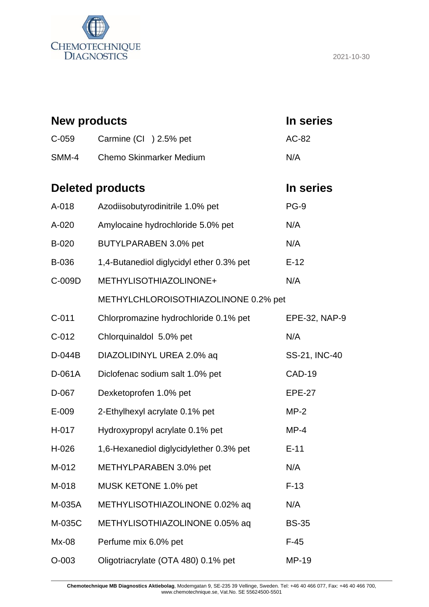

| <b>New products</b>     |                                          | In series     |
|-------------------------|------------------------------------------|---------------|
| $C-059$                 | Carmine (CI) 2.5% pet                    | AC-82         |
| SMM-4                   | <b>Chemo Skinmarker Medium</b>           | N/A           |
| <b>Deleted products</b> |                                          | In series     |
| A-018                   | Azodiisobutyrodinitrile 1.0% pet         | <b>PG-9</b>   |
| A-020                   | Amylocaine hydrochloride 5.0% pet        | N/A           |
| B-020                   | BUTYLPARABEN 3.0% pet                    | N/A           |
| B-036                   | 1,4-Butanediol diglycidyl ether 0.3% pet | $E-12$        |
| C-009D                  | METHYLISOTHIAZOLINONE+                   | N/A           |
|                         | METHYLCHLOROISOTHIAZOLINONE 0.2% pet     |               |
| $C-011$                 | Chlorpromazine hydrochloride 0.1% pet    | EPE-32, NAP-9 |
| $C-012$                 | Chlorquinaldol 5.0% pet                  | N/A           |
| D-044B                  | DIAZOLIDINYL UREA 2.0% aq                | SS-21, INC-40 |
| D-061A                  | Diclofenac sodium salt 1.0% pet          | <b>CAD-19</b> |
| D-067                   | Dexketoprofen 1.0% pet                   | <b>EPE-27</b> |
| E-009                   | 2-Ethylhexyl acrylate 0.1% pet           | $MP-2$        |
| H-017                   | Hydroxypropyl acrylate 0.1% pet          | $MP-4$        |
| H-026                   | 1,6-Hexanediol diglycidylether 0.3% pet  | $E-11$        |
| M-012                   | METHYLPARABEN 3.0% pet                   | N/A           |
| M-018                   | MUSK KETONE 1.0% pet                     | $F-13$        |
| M-035A                  | METHYLISOTHIAZOLINONE 0.02% aq           | N/A           |
| M-035C                  | METHYLISOTHIAZOLINONE 0.05% aq           | <b>BS-35</b>  |
| $Mx-08$                 | Perfume mix 6.0% pet                     | $F-45$        |
| $O-003$                 | Oligotriacrylate (OTA 480) 0.1% pet      | MP-19         |